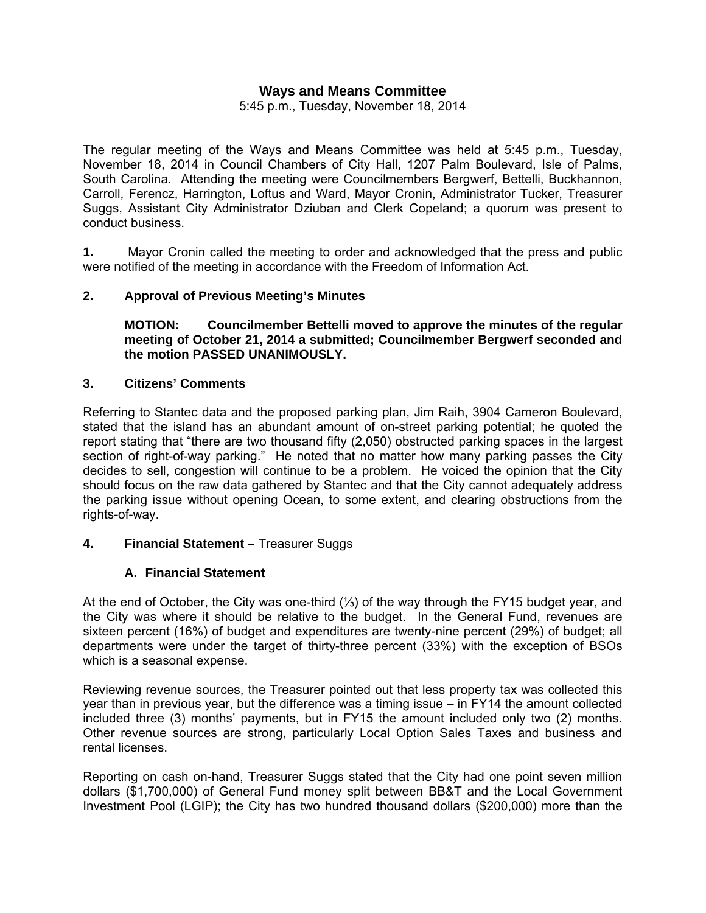# **Ways and Means Committee**

5:45 p.m., Tuesday, November 18, 2014

The regular meeting of the Ways and Means Committee was held at 5:45 p.m., Tuesday, November 18, 2014 in Council Chambers of City Hall, 1207 Palm Boulevard, Isle of Palms, South Carolina. Attending the meeting were Councilmembers Bergwerf, Bettelli, Buckhannon, Carroll, Ferencz, Harrington, Loftus and Ward, Mayor Cronin, Administrator Tucker, Treasurer Suggs, Assistant City Administrator Dziuban and Clerk Copeland; a quorum was present to conduct business.

**1.** Mayor Cronin called the meeting to order and acknowledged that the press and public were notified of the meeting in accordance with the Freedom of Information Act.

#### **2. Approval of Previous Meeting's Minutes**

**MOTION: Councilmember Bettelli moved to approve the minutes of the regular meeting of October 21, 2014 a submitted; Councilmember Bergwerf seconded and the motion PASSED UNANIMOUSLY.** 

## **3. Citizens' Comments**

Referring to Stantec data and the proposed parking plan, Jim Raih, 3904 Cameron Boulevard, stated that the island has an abundant amount of on-street parking potential; he quoted the report stating that "there are two thousand fifty (2,050) obstructed parking spaces in the largest section of right-of-way parking." He noted that no matter how many parking passes the City decides to sell, congestion will continue to be a problem. He voiced the opinion that the City should focus on the raw data gathered by Stantec and that the City cannot adequately address the parking issue without opening Ocean, to some extent, and clearing obstructions from the rights-of-way.

#### **4. Financial Statement –** Treasurer Suggs

#### **A. Financial Statement**

At the end of October, the City was one-third (⅓) of the way through the FY15 budget year, and the City was where it should be relative to the budget. In the General Fund, revenues are sixteen percent (16%) of budget and expenditures are twenty-nine percent (29%) of budget; all departments were under the target of thirty-three percent (33%) with the exception of BSOs which is a seasonal expense.

Reviewing revenue sources, the Treasurer pointed out that less property tax was collected this year than in previous year, but the difference was a timing issue – in FY14 the amount collected included three (3) months' payments, but in FY15 the amount included only two (2) months. Other revenue sources are strong, particularly Local Option Sales Taxes and business and rental licenses.

Reporting on cash on-hand, Treasurer Suggs stated that the City had one point seven million dollars (\$1,700,000) of General Fund money split between BB&T and the Local Government Investment Pool (LGIP); the City has two hundred thousand dollars (\$200,000) more than the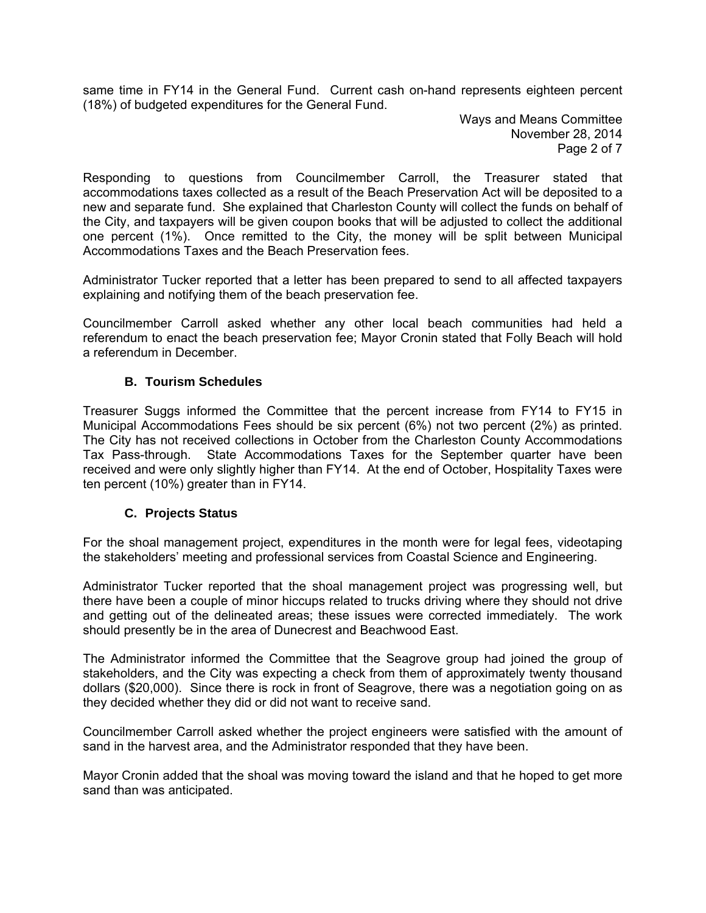same time in FY14 in the General Fund. Current cash on-hand represents eighteen percent (18%) of budgeted expenditures for the General Fund.

> Ways and Means Committee November 28, 2014 Page 2 of 7

Responding to questions from Councilmember Carroll, the Treasurer stated that accommodations taxes collected as a result of the Beach Preservation Act will be deposited to a new and separate fund. She explained that Charleston County will collect the funds on behalf of the City, and taxpayers will be given coupon books that will be adjusted to collect the additional one percent (1%). Once remitted to the City, the money will be split between Municipal Accommodations Taxes and the Beach Preservation fees.

Administrator Tucker reported that a letter has been prepared to send to all affected taxpayers explaining and notifying them of the beach preservation fee.

Councilmember Carroll asked whether any other local beach communities had held a referendum to enact the beach preservation fee; Mayor Cronin stated that Folly Beach will hold a referendum in December.

# **B. Tourism Schedules**

Treasurer Suggs informed the Committee that the percent increase from FY14 to FY15 in Municipal Accommodations Fees should be six percent (6%) not two percent (2%) as printed. The City has not received collections in October from the Charleston County Accommodations Tax Pass-through. State Accommodations Taxes for the September quarter have been received and were only slightly higher than FY14. At the end of October, Hospitality Taxes were ten percent (10%) greater than in FY14.

# **C. Projects Status**

For the shoal management project, expenditures in the month were for legal fees, videotaping the stakeholders' meeting and professional services from Coastal Science and Engineering.

Administrator Tucker reported that the shoal management project was progressing well, but there have been a couple of minor hiccups related to trucks driving where they should not drive and getting out of the delineated areas; these issues were corrected immediately. The work should presently be in the area of Dunecrest and Beachwood East.

The Administrator informed the Committee that the Seagrove group had joined the group of stakeholders, and the City was expecting a check from them of approximately twenty thousand dollars (\$20,000). Since there is rock in front of Seagrove, there was a negotiation going on as they decided whether they did or did not want to receive sand.

Councilmember Carroll asked whether the project engineers were satisfied with the amount of sand in the harvest area, and the Administrator responded that they have been.

Mayor Cronin added that the shoal was moving toward the island and that he hoped to get more sand than was anticipated.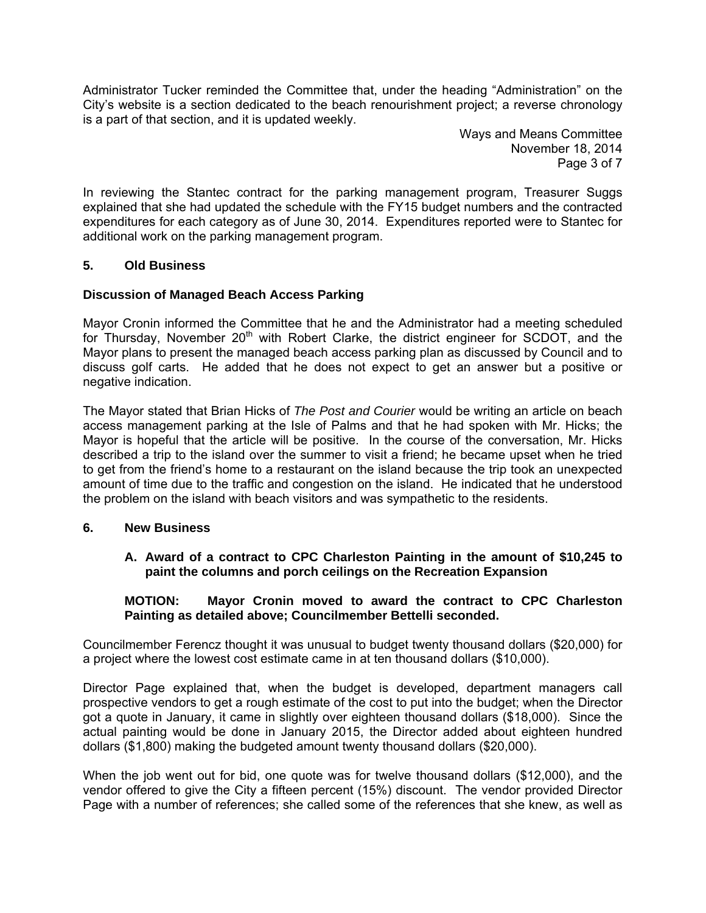Administrator Tucker reminded the Committee that, under the heading "Administration" on the City's website is a section dedicated to the beach renourishment project; a reverse chronology is a part of that section, and it is updated weekly.

> Ways and Means Committee November 18, 2014 Page 3 of 7

In reviewing the Stantec contract for the parking management program, Treasurer Suggs explained that she had updated the schedule with the FY15 budget numbers and the contracted expenditures for each category as of June 30, 2014. Expenditures reported were to Stantec for additional work on the parking management program.

# **5. Old Business**

# **Discussion of Managed Beach Access Parking**

Mayor Cronin informed the Committee that he and the Administrator had a meeting scheduled for Thursday, November 20<sup>th</sup> with Robert Clarke, the district engineer for SCDOT, and the Mayor plans to present the managed beach access parking plan as discussed by Council and to discuss golf carts. He added that he does not expect to get an answer but a positive or negative indication.

The Mayor stated that Brian Hicks of *The Post and Courier* would be writing an article on beach access management parking at the Isle of Palms and that he had spoken with Mr. Hicks; the Mayor is hopeful that the article will be positive. In the course of the conversation, Mr. Hicks described a trip to the island over the summer to visit a friend; he became upset when he tried to get from the friend's home to a restaurant on the island because the trip took an unexpected amount of time due to the traffic and congestion on the island. He indicated that he understood the problem on the island with beach visitors and was sympathetic to the residents.

# **6. New Business**

**A. Award of a contract to CPC Charleston Painting in the amount of \$10,245 to paint the columns and porch ceilings on the Recreation Expansion** 

# **MOTION: Mayor Cronin moved to award the contract to CPC Charleston Painting as detailed above; Councilmember Bettelli seconded.**

Councilmember Ferencz thought it was unusual to budget twenty thousand dollars (\$20,000) for a project where the lowest cost estimate came in at ten thousand dollars (\$10,000).

Director Page explained that, when the budget is developed, department managers call prospective vendors to get a rough estimate of the cost to put into the budget; when the Director got a quote in January, it came in slightly over eighteen thousand dollars (\$18,000). Since the actual painting would be done in January 2015, the Director added about eighteen hundred dollars (\$1,800) making the budgeted amount twenty thousand dollars (\$20,000).

When the job went out for bid, one quote was for twelve thousand dollars (\$12,000), and the vendor offered to give the City a fifteen percent (15%) discount. The vendor provided Director Page with a number of references; she called some of the references that she knew, as well as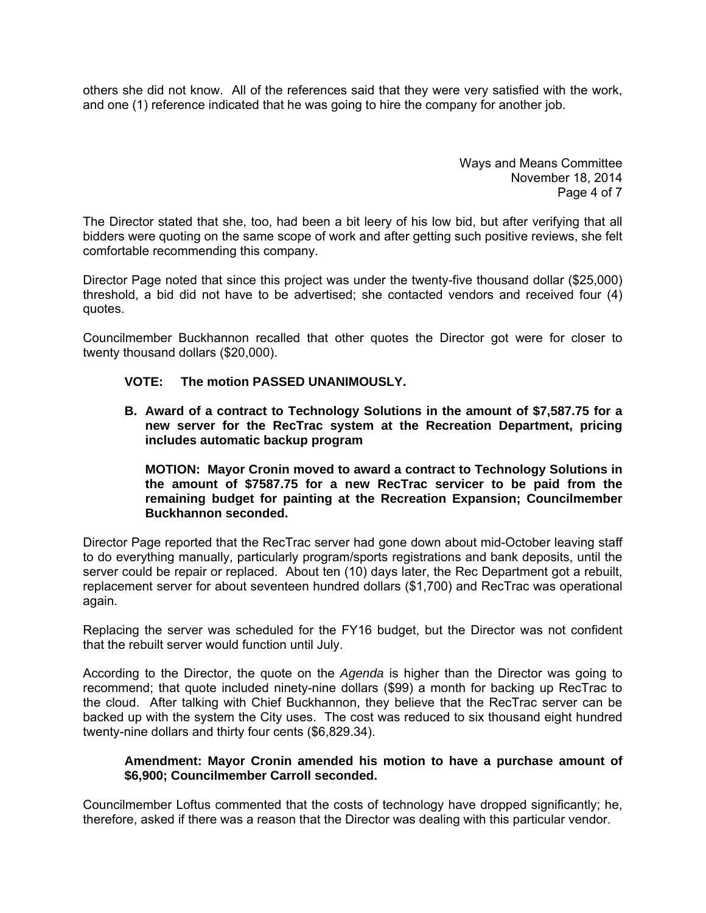others she did not know. All of the references said that they were very satisfied with the work, and one (1) reference indicated that he was going to hire the company for another job.

> Ways and Means Committee November 18, 2014 Page 4 of 7

The Director stated that she, too, had been a bit leery of his low bid, but after verifying that all bidders were quoting on the same scope of work and after getting such positive reviews, she felt comfortable recommending this company.

Director Page noted that since this project was under the twenty-five thousand dollar (\$25,000) threshold, a bid did not have to be advertised; she contacted vendors and received four (4) quotes.

Councilmember Buckhannon recalled that other quotes the Director got were for closer to twenty thousand dollars (\$20,000).

## **VOTE: The motion PASSED UNANIMOUSLY.**

**B. Award of a contract to Technology Solutions in the amount of \$7,587.75 for a new server for the RecTrac system at the Recreation Department, pricing includes automatic backup program** 

**MOTION: Mayor Cronin moved to award a contract to Technology Solutions in the amount of \$7587.75 for a new RecTrac servicer to be paid from the remaining budget for painting at the Recreation Expansion; Councilmember Buckhannon seconded.** 

Director Page reported that the RecTrac server had gone down about mid-October leaving staff to do everything manually, particularly program/sports registrations and bank deposits, until the server could be repair or replaced. About ten (10) days later, the Rec Department got a rebuilt, replacement server for about seventeen hundred dollars (\$1,700) and RecTrac was operational again.

Replacing the server was scheduled for the FY16 budget, but the Director was not confident that the rebuilt server would function until July.

According to the Director, the quote on the *Agenda* is higher than the Director was going to recommend; that quote included ninety-nine dollars (\$99) a month for backing up RecTrac to the cloud. After talking with Chief Buckhannon, they believe that the RecTrac server can be backed up with the system the City uses. The cost was reduced to six thousand eight hundred twenty-nine dollars and thirty four cents (\$6,829.34).

## **Amendment: Mayor Cronin amended his motion to have a purchase amount of \$6,900; Councilmember Carroll seconded.**

Councilmember Loftus commented that the costs of technology have dropped significantly; he, therefore, asked if there was a reason that the Director was dealing with this particular vendor.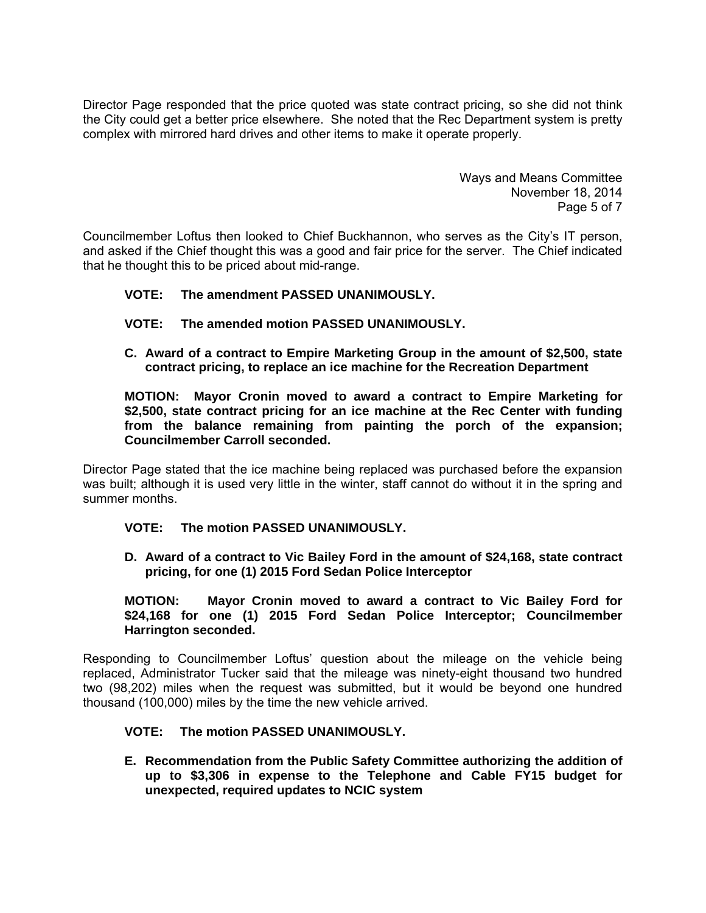Director Page responded that the price quoted was state contract pricing, so she did not think the City could get a better price elsewhere. She noted that the Rec Department system is pretty complex with mirrored hard drives and other items to make it operate properly.

> Ways and Means Committee November 18, 2014 Page 5 of 7

Councilmember Loftus then looked to Chief Buckhannon, who serves as the City's IT person, and asked if the Chief thought this was a good and fair price for the server. The Chief indicated that he thought this to be priced about mid-range.

## **VOTE: The amendment PASSED UNANIMOUSLY.**

- **VOTE: The amended motion PASSED UNANIMOUSLY.**
- **C. Award of a contract to Empire Marketing Group in the amount of \$2,500, state contract pricing, to replace an ice machine for the Recreation Department**

**MOTION: Mayor Cronin moved to award a contract to Empire Marketing for \$2,500, state contract pricing for an ice machine at the Rec Center with funding from the balance remaining from painting the porch of the expansion; Councilmember Carroll seconded.** 

Director Page stated that the ice machine being replaced was purchased before the expansion was built; although it is used very little in the winter, staff cannot do without it in the spring and summer months.

#### **VOTE: The motion PASSED UNANIMOUSLY.**

**D. Award of a contract to Vic Bailey Ford in the amount of \$24,168, state contract pricing, for one (1) 2015 Ford Sedan Police Interceptor** 

**MOTION: Mayor Cronin moved to award a contract to Vic Bailey Ford for \$24,168 for one (1) 2015 Ford Sedan Police Interceptor; Councilmember Harrington seconded.** 

Responding to Councilmember Loftus' question about the mileage on the vehicle being replaced, Administrator Tucker said that the mileage was ninety-eight thousand two hundred two (98,202) miles when the request was submitted, but it would be beyond one hundred thousand (100,000) miles by the time the new vehicle arrived.

#### **VOTE: The motion PASSED UNANIMOUSLY.**

**E. Recommendation from the Public Safety Committee authorizing the addition of up to \$3,306 in expense to the Telephone and Cable FY15 budget for unexpected, required updates to NCIC system**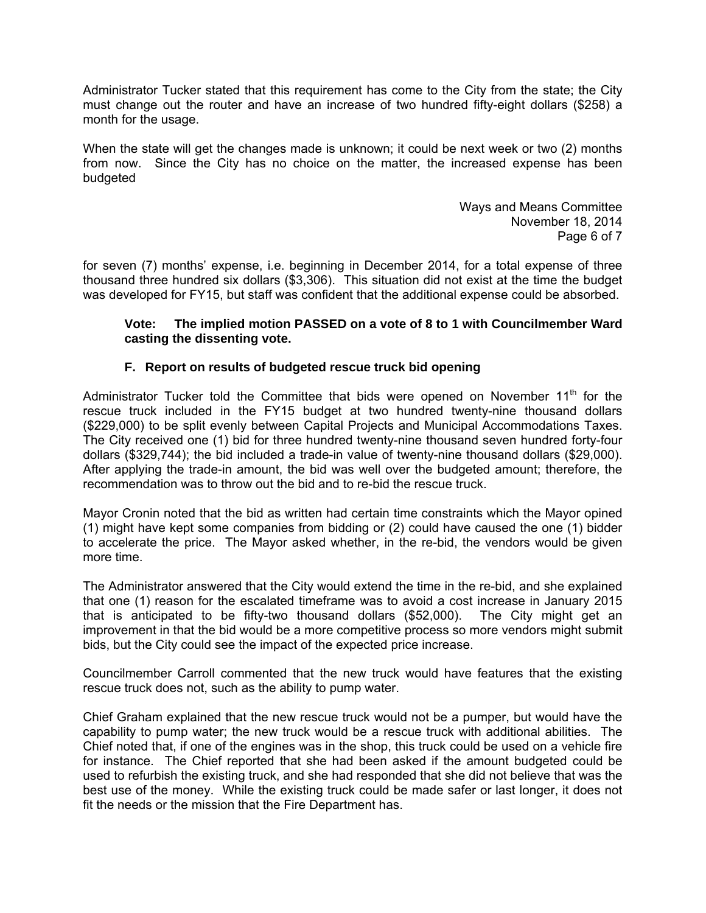Administrator Tucker stated that this requirement has come to the City from the state; the City must change out the router and have an increase of two hundred fifty-eight dollars (\$258) a month for the usage.

When the state will get the changes made is unknown; it could be next week or two (2) months from now. Since the City has no choice on the matter, the increased expense has been budgeted

> Ways and Means Committee November 18, 2014 Page 6 of 7

for seven (7) months' expense, i.e. beginning in December 2014, for a total expense of three thousand three hundred six dollars (\$3,306). This situation did not exist at the time the budget was developed for FY15, but staff was confident that the additional expense could be absorbed.

## **Vote: The implied motion PASSED on a vote of 8 to 1 with Councilmember Ward casting the dissenting vote.**

## **F. Report on results of budgeted rescue truck bid opening**

Administrator Tucker told the Committee that bids were opened on November  $11<sup>th</sup>$  for the rescue truck included in the FY15 budget at two hundred twenty-nine thousand dollars (\$229,000) to be split evenly between Capital Projects and Municipal Accommodations Taxes. The City received one (1) bid for three hundred twenty-nine thousand seven hundred forty-four dollars (\$329,744); the bid included a trade-in value of twenty-nine thousand dollars (\$29,000). After applying the trade-in amount, the bid was well over the budgeted amount; therefore, the recommendation was to throw out the bid and to re-bid the rescue truck.

Mayor Cronin noted that the bid as written had certain time constraints which the Mayor opined (1) might have kept some companies from bidding or (2) could have caused the one (1) bidder to accelerate the price. The Mayor asked whether, in the re-bid, the vendors would be given more time.

The Administrator answered that the City would extend the time in the re-bid, and she explained that one (1) reason for the escalated timeframe was to avoid a cost increase in January 2015 that is anticipated to be fifty-two thousand dollars (\$52,000). The City might get an improvement in that the bid would be a more competitive process so more vendors might submit bids, but the City could see the impact of the expected price increase.

Councilmember Carroll commented that the new truck would have features that the existing rescue truck does not, such as the ability to pump water.

Chief Graham explained that the new rescue truck would not be a pumper, but would have the capability to pump water; the new truck would be a rescue truck with additional abilities. The Chief noted that, if one of the engines was in the shop, this truck could be used on a vehicle fire for instance. The Chief reported that she had been asked if the amount budgeted could be used to refurbish the existing truck, and she had responded that she did not believe that was the best use of the money. While the existing truck could be made safer or last longer, it does not fit the needs or the mission that the Fire Department has.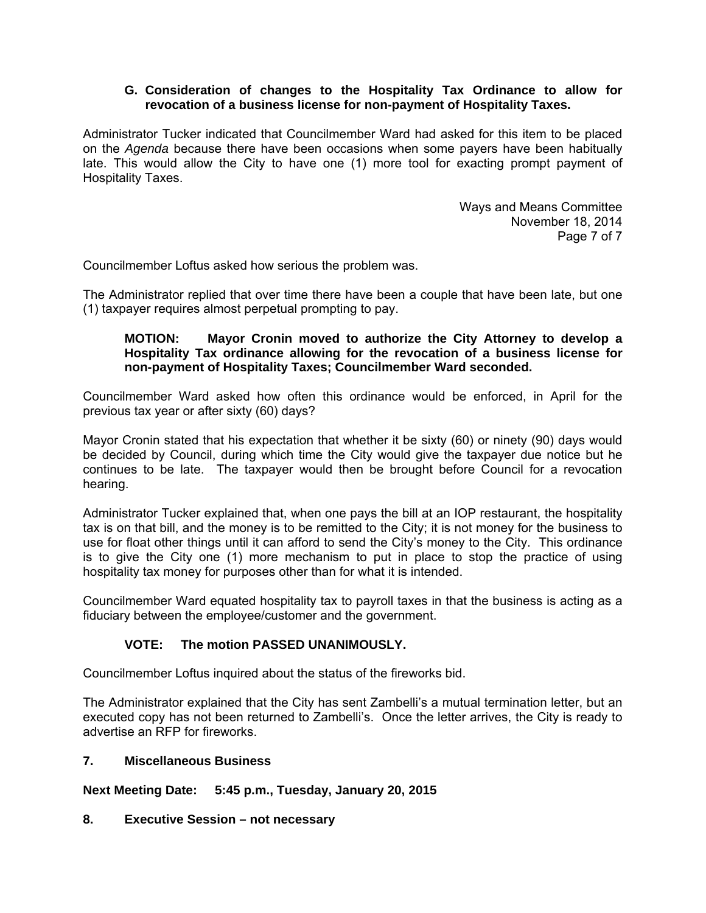## **G. Consideration of changes to the Hospitality Tax Ordinance to allow for revocation of a business license for non-payment of Hospitality Taxes.**

Administrator Tucker indicated that Councilmember Ward had asked for this item to be placed on the *Agenda* because there have been occasions when some payers have been habitually late. This would allow the City to have one (1) more tool for exacting prompt payment of Hospitality Taxes.

> Ways and Means Committee November 18, 2014 Page 7 of 7

Councilmember Loftus asked how serious the problem was.

The Administrator replied that over time there have been a couple that have been late, but one (1) taxpayer requires almost perpetual prompting to pay.

## **MOTION: Mayor Cronin moved to authorize the City Attorney to develop a Hospitality Tax ordinance allowing for the revocation of a business license for non-payment of Hospitality Taxes; Councilmember Ward seconded.**

Councilmember Ward asked how often this ordinance would be enforced, in April for the previous tax year or after sixty (60) days?

Mayor Cronin stated that his expectation that whether it be sixty (60) or ninety (90) days would be decided by Council, during which time the City would give the taxpayer due notice but he continues to be late. The taxpayer would then be brought before Council for a revocation hearing.

Administrator Tucker explained that, when one pays the bill at an IOP restaurant, the hospitality tax is on that bill, and the money is to be remitted to the City; it is not money for the business to use for float other things until it can afford to send the City's money to the City. This ordinance is to give the City one (1) more mechanism to put in place to stop the practice of using hospitality tax money for purposes other than for what it is intended.

Councilmember Ward equated hospitality tax to payroll taxes in that the business is acting as a fiduciary between the employee/customer and the government.

# **VOTE: The motion PASSED UNANIMOUSLY.**

Councilmember Loftus inquired about the status of the fireworks bid.

The Administrator explained that the City has sent Zambelli's a mutual termination letter, but an executed copy has not been returned to Zambelli's. Once the letter arrives, the City is ready to advertise an RFP for fireworks.

#### **7. Miscellaneous Business**

**Next Meeting Date: 5:45 p.m., Tuesday, January 20, 2015** 

#### **8. Executive Session – not necessary**